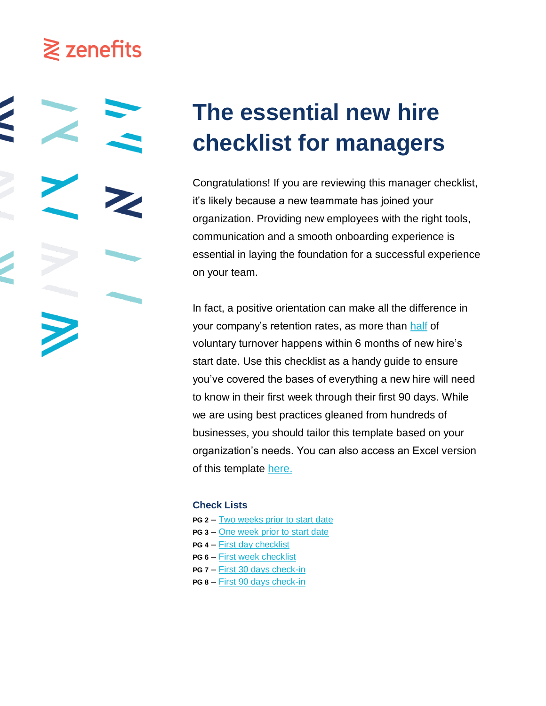# $\geq$  zenefits

**The essential new hire checklist for managers**

Congratulations! If you are reviewing this manager checklist, it's likely because a new teammate has joined your organization. Providing new employees with the right tools, communication and a smooth onboarding experience is essential in laying the foundation for a successful experience on your team.

In fact, a positive orientation can make all the difference in your company's retention rates, as more than [half](https://www.inc.com/adam-vaccaro/voluntary-turnover-six-months.html) of voluntary turnover happens within 6 months of new hire's start date. Use this checklist as a handy guide to ensure you've covered the bases of everything a new hire will need to know in their first week through their first 90 days. While we are using best practices gleaned from hundreds of businesses, you should tailor this template based on your organization's needs. You can also access an Excel version of this template [here.](https://learn.zenefits.com/rs/180-GFH-982/images/TheEssentialNewHireChecklistforManagersExcel.xlsx)

# **Check Lists**

- **PG 2** [Two weeks prior to start date](#page-1-0)
- **PG 3** [One week prior to start date](#page-1-1)
- **PG 4** [First day checklist](#page-3-0)
- **PG 6** [First week checklist](#page-5-0)
- **PG 7** [First 30 days check-in](#page-6-0)
- **PG 8** [First 90 days check-in](#page-7-0)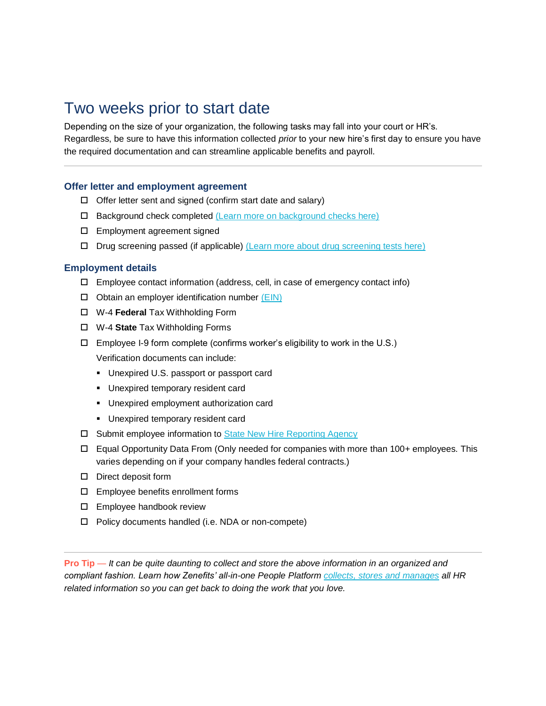# <span id="page-1-0"></span>Two weeks prior to start date

Depending on the size of your organization, the following tasks may fall into your court or HR's. Regardless, be sure to have this information collected *prior* to your new hire's first day to ensure you have the required documentation and can streamline applicable benefits and payroll.

# **Offer letter and employment agreement**

- $\Box$  Offer letter sent and signed (confirm start date and salary)
- □ Background check completed [\(Learn more on background checks here\)](https://www.zenefits.com/blog/background-checks/)
- Employment agreement signed
- $\Box$  Drug screening passed (if applicable) [\(Learn more about drug screening tests here\)](https://www.zenefits.com/answers/am-i-obligated-to-keep-an-applicants-drug-screening-results-confidential/)

### **Employment details**

- $\Box$  Employee contact information (address, cell, in case of emergency contact info)
- $\Box$  Obtain an employer identification number [\(EIN\)](https://smallbusiness.findlaw.com/business-taxes/employer-identification-number-ein-faq.html)
- W-4 **Federal** Tax Withholding Form
- W-4 **State** Tax Withholding Forms
- $\Box$  Employee I-9 form complete (confirms worker's eligibility to work in the U.S.)

Verification documents can include:

- Unexpired U.S. passport or passport card
- Unexpired temporary resident card
- Unexpired employment authorization card
- Unexpired temporary resident card
- □ Submit employee information to [State New Hire Reporting Agency](https://www.sba.gov/business-guide/manage-your-business/hire-manage-employees)
- Equal Opportunity Data From (Only needed for companies with more than 100+ employees. This varies depending on if your company handles federal contracts.)
- D Direct deposit form
- Employee benefits enrollment forms
- □ Employee handbook review
- $\Box$  Policy documents handled (i.e. NDA or non-compete)

<span id="page-1-1"></span>**Pro Tip** — *It can be quite daunting to collect and store the above information in an organized and compliant fashion. Learn how Zenefits' all-in-one People Platform [collects, stores and manages](https://zenefits.app.box.com/s/u4p0y08mhidyxw1sdvf9jtf7gbbr5ozu/file/292689210572) all HR related information so you can get back to doing the work that you love.*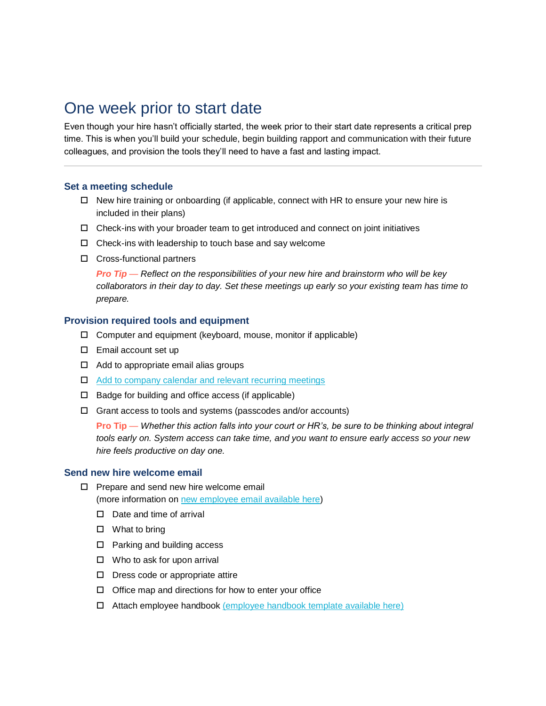# One week prior to start date

Even though your hire hasn't officially started, the week prior to their start date represents a critical prep time. This is when you'll build your schedule, begin building rapport and communication with their future colleagues, and provision the tools they'll need to have a fast and lasting impact.

### **Set a meeting schedule**

- $\Box$  [New hire training or onboarding](https://www.zenefits.com/blog/cta/onboarding-definitive-guide/?wp-cta-variation-id=0) (if applicable, connect with HR to ensure your new hire is included in their plans)
- $\Box$  Check-ins with your broader team to get introduced and connect on joint initiatives
- $\Box$  Check-ins with leadership to touch base and say welcome
- $\square$  Cross-functional partners

*Pro Tip* — *Reflect on the responsibilities of your new hire and brainstorm who will be key collaborators in their day to day. Set these meetings up early so your existing team has time to prepare.*

#### **Provision required tools and equipment**

- $\Box$  Computer and equipment (keyboard, mouse, monitor if applicable)
- $\square$  Email account set up
- $\Box$  Add to appropriate email alias groups
- $\Box$  [Add to company calendar and relevant recurring meetings](https://www.zenefits.com/blog/employee-onboarding-tips/)
- $\Box$  Badge for building and office access (if applicable)
- $\Box$  Grant access to tools and systems (passcodes and/or accounts)

**Pro Tip** *— Whether this action falls into your court or HR's, be sure to be thinking about integral tools early on. System access can take time, and you want to ensure early access so your new hire feels productive on day one.* 

#### **Send new hire welcome email**

- $\Box$  Prepare and send new hire welcome email (more information on [new employee email available here\)](https://www.zenefits.com/blog/template-how-to-write-a-new-hire-welcome-email/)
	- $\square$  Date and time of arrival
	- $\square$  What to bring
	- $\Box$  Parking and building access
	- $\Box$  Who to ask for upon arrival
	- $\square$  Dress code or appropriate attire
	- $\Box$  Office map and directions for how to enter your office
	- $\Box$  Attach employee handbook [\(employee handbook template](https://learn.zenefits.com/employee-handbook-template.html) available here)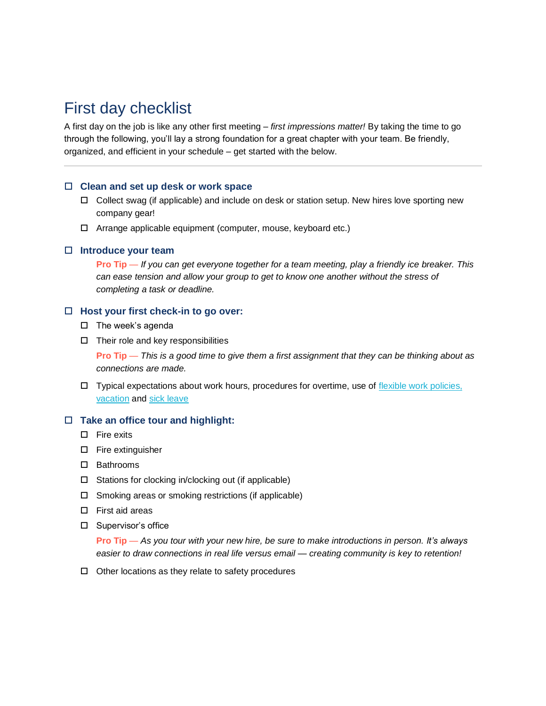# <span id="page-3-0"></span>First day checklist

A first day on the job is like any other first meeting – *first impressions matter!* By taking the time to go through the following, you'll lay a strong foundation for a great chapter with your team. Be friendly, organized, and efficient in your schedule – get started with the below.

### **[Clean and set up desk or work space](https://www.zenefits.com/blog/employees-first-day-onboarding-ideas/)**

- □ Collect swag (if applicable) and include on desk or station setup. New hires love sporting new company gear!
- $\Box$  Arrange applicable equipment (computer, mouse, keyboard etc.)

### **Introduce your team**

**Pro Tip** *— If you can get everyone together for a team meeting, play a friendly ice breaker. This can ease tension and allow your group to get to know one another without the stress of completing a task or deadline.* 

#### **Host your first check-in to go over:**

- $\square$  The week's agenda
- $\Box$  Their role and key responsibilities

**Pro Tip** *— This is a good time to give them a first assignment that they can be thinking about as connections are made.* 

 $\Box$  Typical expectations about work hours, procedures for overtime, use of [flexible work policies,](https://www.zenefits.com/blog/7-types-flexible-work-arrangements/) [vacation](https://www.zenefits.com/blog/paid-time-off-policies-smbs/) and [sick leave](https://www.zenefits.com/blog/supplemental-payroll-examples/rawpixel-577480-unsplash/)

#### **Take an office tour and highlight:**

- $\square$  Fire exits
- □ Fire extinguisher
- □ Bathrooms
- $\square$  Stations for clocking in/clocking out (if applicable)
- $\square$  Smoking areas or smoking restrictions (if applicable)
- $\square$  First aid areas
- □ Supervisor's office

**Pro Tip** *— As you tour with your new hire, be sure to make introductions in person. It's always easier to draw connections in real life versus email — creating community is key to retention!* 

 $\Box$  Other locations as they relate to safety procedures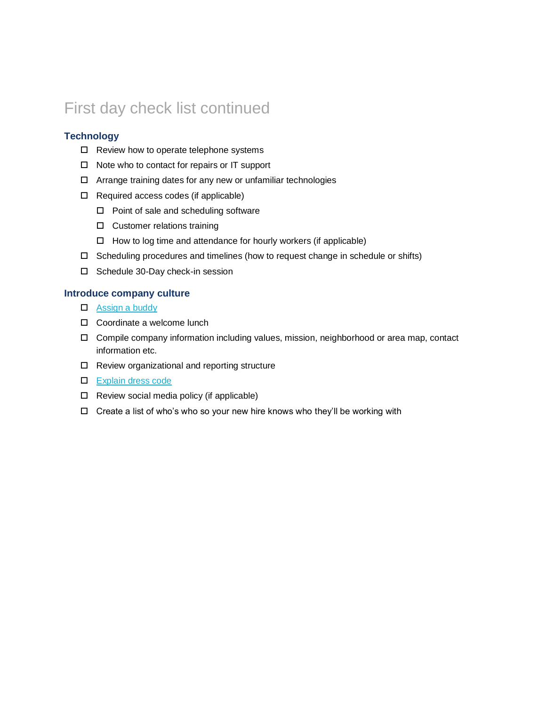# First day check list continued

# **Technology**

- $\Box$  Review how to operate telephone systems
- $\Box$  Note who to contact for repairs or IT support
- $\Box$  Arrange training dates for any new or unfamiliar technologies
- $\Box$  Required access codes (if applicable)
	- $\Box$  Point of sale and scheduling software
	- Customer relations training
	- $\Box$  How to log time and attendance for hourly workers (if applicable)
- $\Box$  Scheduling procedures and timelines (how to request change in schedule or shifts)
- □ Schedule 30-Day check-in session

# **Introduce company culture**

- $\Box$  [Assign a buddy](https://www.zenefits.com/blog/5-actionable-ways-build-great-work-relationships-improve-company-culture/)
- □ Coordinate a welcome lunch
- Compile company information including values, mission, neighborhood or area map, contact information etc.
- $\Box$  Review organizational and reporting structure
- **[Explain dress code](https://www.zenefits.com/blog/employee-handbook-examples/)**
- $\Box$  Review social media policy (if applicable)
- $\Box$  Create a list of who's who so your new hire knows who they'll be working with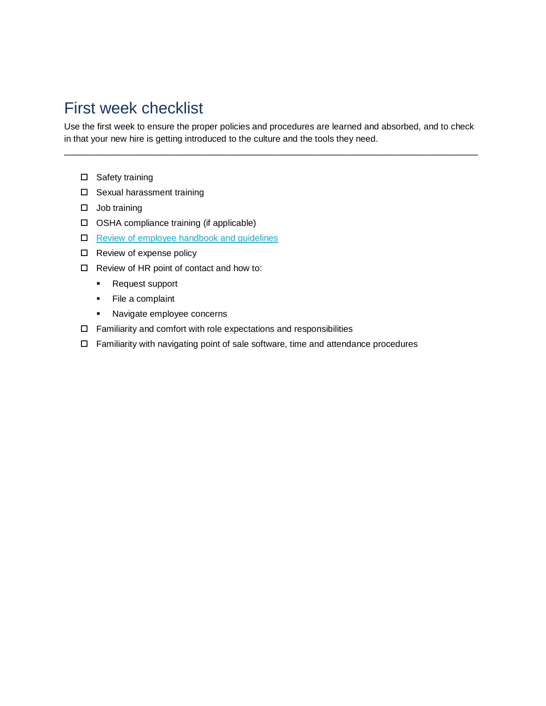# <span id="page-5-0"></span>First week checklist

Use the first week to ensure the proper policies and procedures are learned and absorbed, and to check in that your new hire is getting introduced to the culture and the tools they need.

\_\_\_\_\_\_\_\_\_\_\_\_\_\_\_\_\_\_\_\_\_\_\_\_\_\_\_\_\_\_\_\_\_\_\_\_\_\_\_\_\_\_\_\_\_\_\_\_\_\_\_\_\_\_\_\_\_\_\_\_\_\_\_\_\_\_\_\_\_\_\_\_\_\_\_\_

- □ Safety training
- □ Sexual harassment training
- $\square$  Job training
- □ OSHA compliance training (if applicable)
- Review of employee handbook and quidelines
- $\square$  Review of expense policy
- $\Box$  Review of HR point of contact and how to:
	- Request support
	- File a complaint
	- Navigate employee concerns
- $\Box$  Familiarity and comfort with role expectations and responsibilities
- $\Box$  Familiarity with navigating point of sale software, time and attendance procedures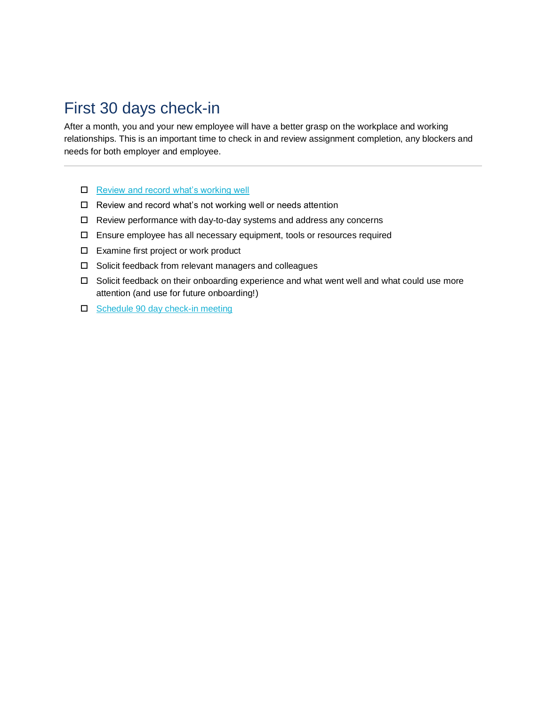# <span id="page-6-0"></span>First 30 days check-in

After a month, you and your new employee will have a better grasp on the workplace and working relationships. This is an important time to check in and review assignment completion, any blockers and needs for both employer and employee.

- $\Box$  [Review and record what's working well](https://www.zenefits.com/blog/increase-effective-communication-workplace/)
- $\Box$  Review and record what's not working well or needs attention
- $\Box$  Review performance with day-to-day systems and address any concerns
- Ensure employee has all necessary equipment, tools or resources required
- Examine first project or work product
- □ Solicit feedback from relevant managers and colleagues
- Solicit feedback on their onboarding experience and what went well and what could use more attention (and use for future onboarding!)
- $\Box$  [Schedule 90 day check-in meeting](https://www.zenefits.com/blog/improve-management-game-increase-employee-retention/)